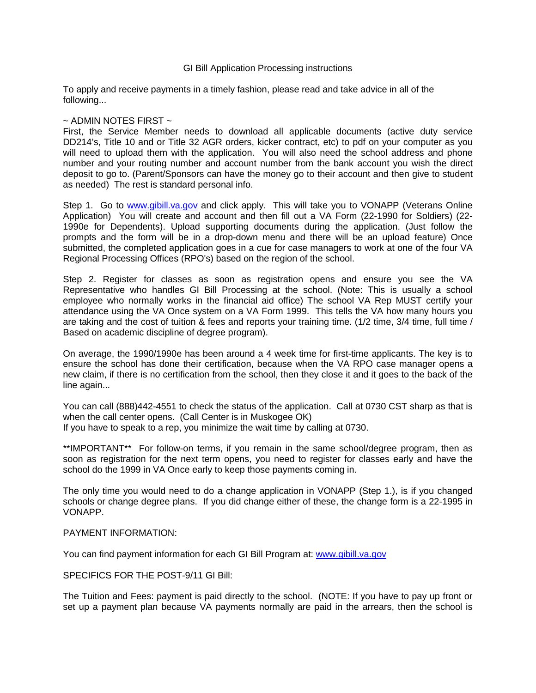## GI Bill Application Processing instructions

To apply and receive payments in a timely fashion, please read and take advice in all of the following...

## $\sim$  ADMIN NOTES FIRST  $\sim$

First, the Service Member needs to download all applicable documents (active duty service DD214's, Title 10 and or Title 32 AGR orders, kicker contract, etc) to pdf on your computer as you will need to upload them with the application. You will also need the school address and phone number and your routing number and account number from the bank account you wish the direct deposit to go to. (Parent/Sponsors can have the money go to their account and then give to student as needed) The rest is standard personal info.

Step 1. Go to [www.gibill.va.gov](http://www.gibill.va.gov/) and click apply. This will take you to VONAPP (Veterans Online Application) You will create and account and then fill out a VA Form (22-1990 for Soldiers) (22- 1990e for Dependents). Upload supporting documents during the application. (Just follow the prompts and the form will be in a drop-down menu and there will be an upload feature) Once submitted, the completed application goes in a cue for case managers to work at one of the four VA Regional Processing Offices (RPO's) based on the region of the school.

Step 2. Register for classes as soon as registration opens and ensure you see the VA Representative who handles GI Bill Processing at the school. (Note: This is usually a school employee who normally works in the financial aid office) The school VA Rep MUST certify your attendance using the VA Once system on a VA Form 1999. This tells the VA how many hours you are taking and the cost of tuition & fees and reports your training time. (1/2 time, 3/4 time, full time / Based on academic discipline of degree program).

On average, the 1990/1990e has been around a 4 week time for first-time applicants. The key is to ensure the school has done their certification, because when the VA RPO case manager opens a new claim, if there is no certification from the school, then they close it and it goes to the back of the line again...

You can call (888)442-4551 to check the status of the application. Call at 0730 CST sharp as that is when the call center opens. (Call Center is in Muskogee OK) If you have to speak to a rep, you minimize the wait time by calling at 0730.

\*\*IMPORTANT\*\* For follow-on terms, if you remain in the same school/degree program, then as soon as registration for the next term opens, you need to register for classes early and have the school do the 1999 in VA Once early to keep those payments coming in.

The only time you would need to do a change application in VONAPP (Step 1.), is if you changed schools or change degree plans. If you did change either of these, the change form is a 22-1995 in VONAPP.

## PAYMENT INFORMATION:

You can find payment information for each GI Bill Program at: [www.gibill.va.gov](http://www.gibill.va.gov/)

SPECIFICS FOR THE POST-9/11 GI Bill:

The Tuition and Fees: payment is paid directly to the school. (NOTE: If you have to pay up front or set up a payment plan because VA payments normally are paid in the arrears, then the school is